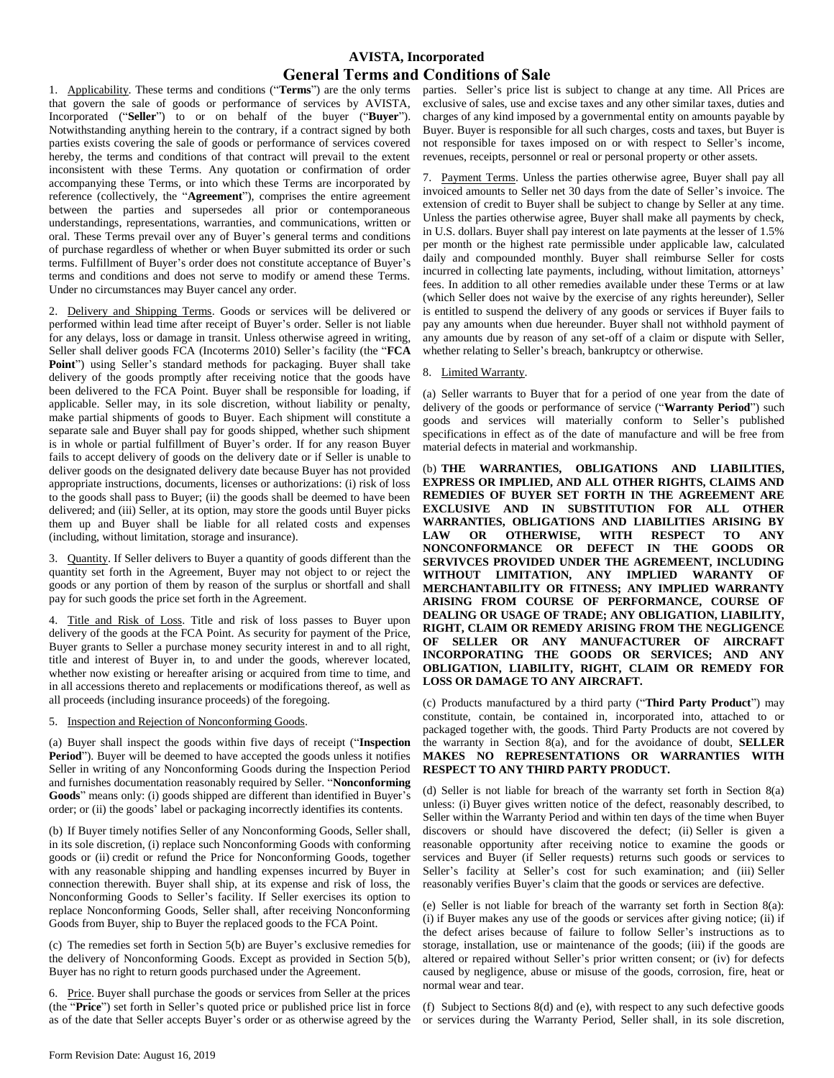# **AVISTA, Incorporated General Terms and Conditions of Sale**

1. Applicability. These terms and conditions ("**Terms**") are the only terms that govern the sale of goods or performance of services by AVISTA, Incorporated ("**Seller**") to or on behalf of the buyer ("**Buyer**"). Notwithstanding anything herein to the contrary, if a contract signed by both parties exists covering the sale of goods or performance of services covered hereby, the terms and conditions of that contract will prevail to the extent inconsistent with these Terms. Any quotation or confirmation of order accompanying these Terms, or into which these Terms are incorporated by reference (collectively, the "**Agreement**"), comprises the entire agreement between the parties and supersedes all prior or contemporaneous understandings, representations, warranties, and communications, written or oral. These Terms prevail over any of Buyer's general terms and conditions of purchase regardless of whether or when Buyer submitted its order or such terms. Fulfillment of Buyer's order does not constitute acceptance of Buyer's terms and conditions and does not serve to modify or amend these Terms. Under no circumstances may Buyer cancel any order.

2. Delivery and Shipping Terms. Goods or services will be delivered or performed within lead time after receipt of Buyer's order. Seller is not liable for any delays, loss or damage in transit. Unless otherwise agreed in writing, Seller shall deliver goods FCA (Incoterms 2010) Seller's facility (the "**FCA Point**") using Seller's standard methods for packaging. Buyer shall take delivery of the goods promptly after receiving notice that the goods have been delivered to the FCA Point. Buyer shall be responsible for loading, if applicable. Seller may, in its sole discretion, without liability or penalty, make partial shipments of goods to Buyer. Each shipment will constitute a separate sale and Buyer shall pay for goods shipped, whether such shipment is in whole or partial fulfillment of Buyer's order. If for any reason Buyer fails to accept delivery of goods on the delivery date or if Seller is unable to deliver goods on the designated delivery date because Buyer has not provided appropriate instructions, documents, licenses or authorizations: (i) risk of loss to the goods shall pass to Buyer; (ii) the goods shall be deemed to have been delivered; and (iii) Seller, at its option, may store the goods until Buyer picks them up and Buyer shall be liable for all related costs and expenses (including, without limitation, storage and insurance).

3. Quantity. If Seller delivers to Buyer a quantity of goods different than the quantity set forth in the Agreement, Buyer may not object to or reject the goods or any portion of them by reason of the surplus or shortfall and shall pay for such goods the price set forth in the Agreement.

4. Title and Risk of Loss. Title and risk of loss passes to Buyer upon delivery of the goods at the FCA Point. As security for payment of the Price, Buyer grants to Seller a purchase money security interest in and to all right, title and interest of Buyer in, to and under the goods, wherever located, whether now existing or hereafter arising or acquired from time to time, and in all accessions thereto and replacements or modifications thereof, as well as all proceeds (including insurance proceeds) of the foregoing.

#### 5. Inspection and Rejection of Nonconforming Goods.

(a) Buyer shall inspect the goods within five days of receipt ("**Inspection**  Period"). Buyer will be deemed to have accepted the goods unless it notifies Seller in writing of any Nonconforming Goods during the Inspection Period and furnishes documentation reasonably required by Seller. "**Nonconforming Goods**" means only: (i) goods shipped are different than identified in Buyer's order; or (ii) the goods' label or packaging incorrectly identifies its contents.

(b) If Buyer timely notifies Seller of any Nonconforming Goods, Seller shall, in its sole discretion, (i) replace such Nonconforming Goods with conforming goods or (ii) credit or refund the Price for Nonconforming Goods, together with any reasonable shipping and handling expenses incurred by Buyer in connection therewith. Buyer shall ship, at its expense and risk of loss, the Nonconforming Goods to Seller's facility. If Seller exercises its option to replace Nonconforming Goods, Seller shall, after receiving Nonconforming Goods from Buyer, ship to Buyer the replaced goods to the FCA Point.

(c) The remedies set forth in Section 5(b) are Buyer's exclusive remedies for the delivery of Nonconforming Goods. Except as provided in Section 5(b), Buyer has no right to return goods purchased under the Agreement.

6. Price. Buyer shall purchase the goods or services from Seller at the prices (the "**Price**") set forth in Seller's quoted price or published price list in force as of the date that Seller accepts Buyer's order or as otherwise agreed by the

parties. Seller's price list is subject to change at any time. All Prices are exclusive of sales, use and excise taxes and any other similar taxes, duties and charges of any kind imposed by a governmental entity on amounts payable by Buyer. Buyer is responsible for all such charges, costs and taxes, but Buyer is not responsible for taxes imposed on or with respect to Seller's income, revenues, receipts, personnel or real or personal property or other assets.

7. Payment Terms. Unless the parties otherwise agree, Buyer shall pay all invoiced amounts to Seller net 30 days from the date of Seller's invoice. The extension of credit to Buyer shall be subject to change by Seller at any time. Unless the parties otherwise agree, Buyer shall make all payments by check, in U.S. dollars. Buyer shall pay interest on late payments at the lesser of 1.5% per month or the highest rate permissible under applicable law, calculated daily and compounded monthly. Buyer shall reimburse Seller for costs incurred in collecting late payments, including, without limitation, attorneys' fees. In addition to all other remedies available under these Terms or at law (which Seller does not waive by the exercise of any rights hereunder), Seller is entitled to suspend the delivery of any goods or services if Buyer fails to pay any amounts when due hereunder. Buyer shall not withhold payment of any amounts due by reason of any set-off of a claim or dispute with Seller, whether relating to Seller's breach, bankruptcy or otherwise.

#### 8. Limited Warranty.

(a) Seller warrants to Buyer that for a period of one year from the date of delivery of the goods or performance of service ("**Warranty Period**") such goods and services will materially conform to Seller's published specifications in effect as of the date of manufacture and will be free from material defects in material and workmanship.

(b) **THE WARRANTIES, OBLIGATIONS AND LIABILITIES, EXPRESS OR IMPLIED, AND ALL OTHER RIGHTS, CLAIMS AND REMEDIES OF BUYER SET FORTH IN THE AGREEMENT ARE EXCLUSIVE AND IN SUBSTITUTION FOR ALL OTHER WARRANTIES, OBLIGATIONS AND LIABILITIES ARISING BY LAW OR OTHERWISE, WITH RESPECT TO ANY NONCONFORMANCE OR DEFECT IN THE GOODS OR SERVIVCES PROVIDED UNDER THE AGREMEENT, INCLUDING WITHOUT LIMITATION, ANY IMPLIED WARANTY OF MERCHANTABILITY OR FITNESS; ANY IMPLIED WARRANTY ARISING FROM COURSE OF PERFORMANCE, COURSE OF DEALING OR USAGE OF TRADE; ANY OBLIGATION, LIABILITY, RIGHT, CLAIM OR REMEDY ARISING FROM THE NEGLIGENCE OF SELLER OR ANY MANUFACTURER OF AIRCRAFT INCORPORATING THE GOODS OR SERVICES; AND ANY OBLIGATION, LIABILITY, RIGHT, CLAIM OR REMEDY FOR LOSS OR DAMAGE TO ANY AIRCRAFT.**

(c) Products manufactured by a third party ("**Third Party Product**") may constitute, contain, be contained in, incorporated into, attached to or packaged together with, the goods. Third Party Products are not covered by the warranty in Section 8(a), and for the avoidance of doubt, **SELLER MAKES NO REPRESENTATIONS OR WARRANTIES WITH RESPECT TO ANY THIRD PARTY PRODUCT.**

(d) Seller is not liable for breach of the warranty set forth in Section 8(a) unless: (i) Buyer gives written notice of the defect, reasonably described, to Seller within the Warranty Period and within ten days of the time when Buyer discovers or should have discovered the defect; (ii) Seller is given a reasonable opportunity after receiving notice to examine the goods or services and Buyer (if Seller requests) returns such goods or services to Seller's facility at Seller's cost for such examination; and (iii) Seller reasonably verifies Buyer's claim that the goods or services are defective.

(e) Seller is not liable for breach of the warranty set forth in Section 8(a): (i) if Buyer makes any use of the goods or services after giving notice; (ii) if the defect arises because of failure to follow Seller's instructions as to storage, installation, use or maintenance of the goods; (iii) if the goods are altered or repaired without Seller's prior written consent; or (iv) for defects caused by negligence, abuse or misuse of the goods, corrosion, fire, heat or normal wear and tear.

(f) Subject to Sections 8(d) and (e), with respect to any such defective goods or services during the Warranty Period, Seller shall, in its sole discretion,